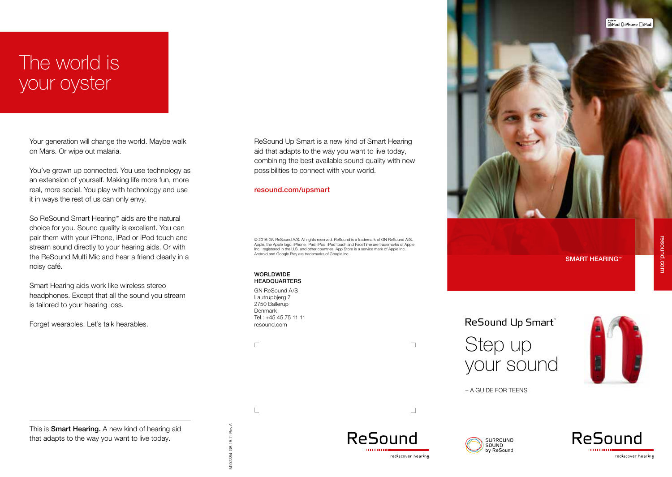## The world is your oyster

Your generation will change the world. Maybe walk on Mars. Or wipe out malaria.

You've grown up connected. You use technology as an extension of yourself. Making life more fun, more real, more social. You play with technology and use it in ways the rest of us can only envy.

So ReSound Smart Hearing™ aids are the natural choice for you. Sound quality is excellent. You can pair them with your iPhone, iPad or iPod touch and stream sound directly to your hearing aids. Or with the ReSound Multi Mic and hear a friend clearly in a noisy café.

Smart Hearing aids work like wireless stereo headphones. Except that all the sound you stream is tailored to your hearing loss.

Forget wearables. Let's talk hearables.

ReSound Up Smart is a new kind of Smart Hearing aid that adapts to the way you want to live today, combining the best available sound quality with new possibilities to connect with your world.

### resound.com/upsmart

© 2016 GN ReSound A/S. All rights reserved. ReSound is a trademark of GN ReSound A/S. Apple, the Apple logo, iPhone, iPad, iPod, iPod touch and FaceTime are trademarks of Apple Inc., registered in the U.S. and other countries. App Store is a service mark of Apple Inc. Android and Google Play are trademarks of Google Inc.

#### WORLDWIDE **HEADQUARTERS**

GN ReSound A/S Lautrupbjerg 7 2750 Ballerup Denmark Tel.: +45 45 75 11 11 resound.com

 $\Box$ 

 $\mathbb{L}$ 

ReSound Up Smart Step up your sound



– A GUIDE FOR TEENS







This is **Smart Hearing.** A new kind of hearing aid that adapts to the way you want to live today.

V102384-GB-15.11-Rev.A M102384-GB-15.11-Rev.A ‱<sub>ter</sub><br>∏iPod □iPhone □iPad

SMART HEARING™